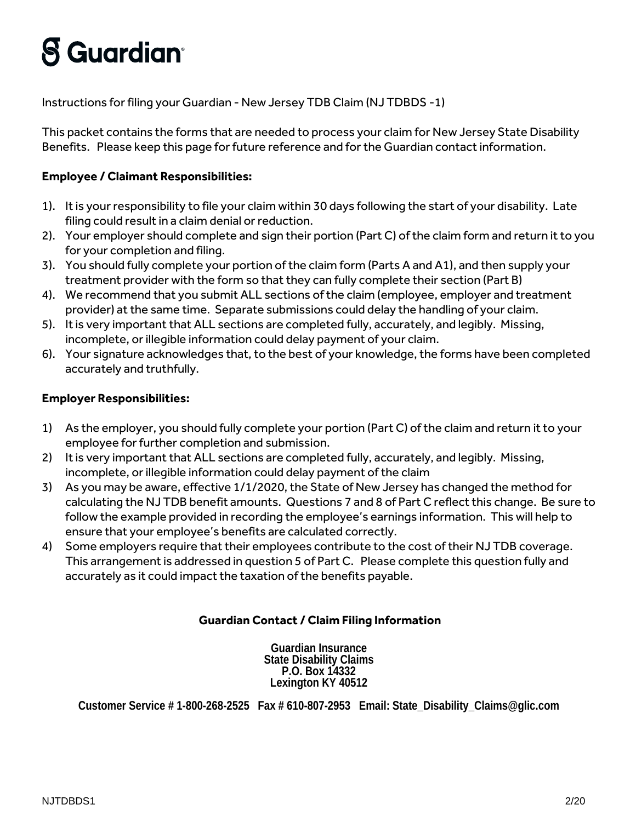## **S** Guardian<sup>®</sup>

Instructions for filing your Guardian - New Jersey TDB Claim (NJ TDBDS -1)

This packet contains the forms that are needed to process your claim for New Jersey State Disability Benefits. Please keep this page for future reference and for the Guardian contact information.

## **Employee / Claimant Responsibilities:**

- 1). It is your responsibility to file your claim within 30 days following the start of your disability. Late filing could result in a claim denial or reduction.
- 2). Your employer should complete and sign their portion (Part C) of the claim form and return it to you for your completion and filing.
- 3). You should fully complete your portion of the claim form (Parts A and A1), and then supply your treatment provider with the form so that they can fully complete their section (Part B)
- 4). We recommend that you submit ALL sections of the claim (employee, employer and treatment provider) at the same time. Separate submissions could delay the handling of your claim.
- 5). It is very important that ALL sections are completed fully, accurately, and legibly. Missing, incomplete, or illegible information could delay payment of your claim.
- 6). Your signature acknowledges that, to the best of your knowledge, the forms have been completed accurately and truthfully.

## **Employer Responsibilities:**

- 1) As the employer, you should fully complete your portion (Part C) of the claim and return it to your employee for further completion and submission.
- 2) It is very important that ALL sections are completed fully, accurately, and legibly. Missing, incomplete, or illegible information could delay payment of the claim
- 3) As you may be aware, effective 1/1/2020, the State of New Jersey has changed the method for calculating the NJ TDB benefit amounts. Questions 7 and 8 of Part C reflect this change. Be sure to follow the example provided in recording the employee's earnings information. This will help to ensure that your employee's benefits are calculated correctly.
- 4) Some employers require that their employees contribute to the cost of their NJ TDB coverage. This arrangement is addressed in question 5 of Part C. Please complete this question fully and accurately as it could impact the taxation of the benefits payable.

## **Guardian Contact / Claim Filing Information**

**Guardian Insurance State Disability Claims P.O. Box 14332 Lexington KY 40512**

**Customer Service # 1-800-268-2525 Fax # 610-807-2953 Email: State\_Disability\_Claims@glic.com**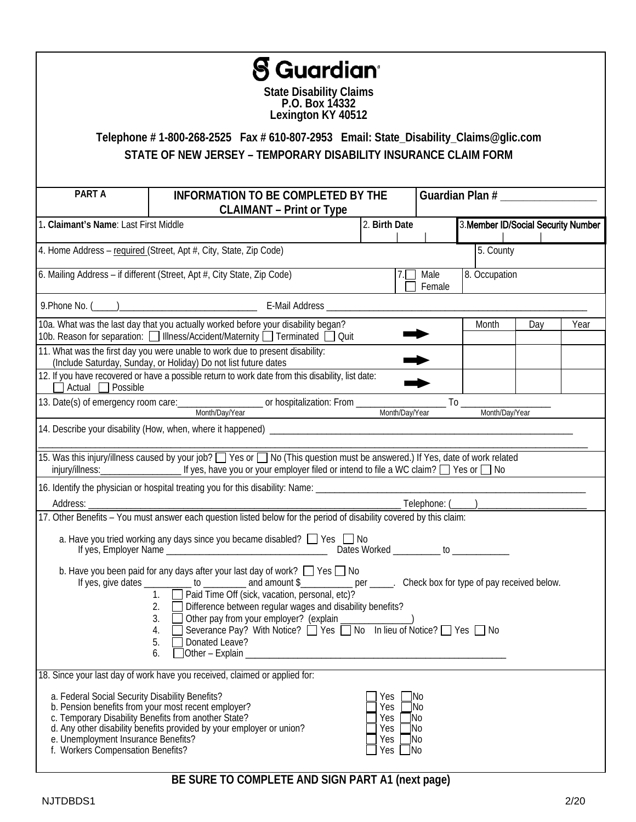|                                                                                                                             | <b>S Guardian</b> <sup>.</sup><br><b>State Disability Claims</b><br>P.O. Box 14332<br>Lexington KY 40512<br>Telephone #1-800-268-2525 Fax #610-807-2953 Email: State_Disability_Claims@glic.com                                                                                                                                                                                                                                                                     |                                        |                                                                |                |                 |                                     |      |  |
|-----------------------------------------------------------------------------------------------------------------------------|---------------------------------------------------------------------------------------------------------------------------------------------------------------------------------------------------------------------------------------------------------------------------------------------------------------------------------------------------------------------------------------------------------------------------------------------------------------------|----------------------------------------|----------------------------------------------------------------|----------------|-----------------|-------------------------------------|------|--|
|                                                                                                                             | STATE OF NEW JERSEY - TEMPORARY DISABILITY INSURANCE CLAIM FORM                                                                                                                                                                                                                                                                                                                                                                                                     |                                        |                                                                |                |                 |                                     |      |  |
| PART A                                                                                                                      | <b>INFORMATION TO BE COMPLETED BY THE</b><br><b>CLAIMANT - Print or Type</b>                                                                                                                                                                                                                                                                                                                                                                                        |                                        |                                                                |                | Guardian Plan # |                                     |      |  |
| 1. Claimant's Name: Last First Middle                                                                                       |                                                                                                                                                                                                                                                                                                                                                                                                                                                                     | 2. Birth Date                          |                                                                |                |                 | 3. Member ID/Social Security Number |      |  |
|                                                                                                                             | 4. Home Address - required (Street, Apt #, City, State, Zip Code)                                                                                                                                                                                                                                                                                                                                                                                                   |                                        |                                                                |                | 5. County       |                                     |      |  |
|                                                                                                                             | 6. Mailing Address - if different (Street, Apt #, City State, Zip Code)                                                                                                                                                                                                                                                                                                                                                                                             |                                        |                                                                | Male<br>Female |                 | 8. Occupation                       |      |  |
|                                                                                                                             |                                                                                                                                                                                                                                                                                                                                                                                                                                                                     |                                        |                                                                |                |                 |                                     |      |  |
|                                                                                                                             | 10a. What was the last day that you actually worked before your disability began?<br>10b. Reason for separation: Illness/Accident/Maternity Terminated Duit                                                                                                                                                                                                                                                                                                         |                                        |                                                                |                | Month           | Day                                 | Year |  |
|                                                                                                                             | 11. What was the first day you were unable to work due to present disability:<br>(Include Saturday, Sunday, or Holiday) Do not list future dates                                                                                                                                                                                                                                                                                                                    |                                        |                                                                |                |                 |                                     |      |  |
| Actual $\Box$ Possible                                                                                                      | 12. If you have recovered or have a possible return to work date from this disability, list date:                                                                                                                                                                                                                                                                                                                                                                   |                                        |                                                                |                |                 |                                     |      |  |
|                                                                                                                             | 13. Date(s) of emergency room care: _____________________ or hospitalization: From ________________<br>Month/Day/Year                                                                                                                                                                                                                                                                                                                                               |                                        | Month/Day/Year                                                 |                | Month/Day/Year  |                                     |      |  |
|                                                                                                                             |                                                                                                                                                                                                                                                                                                                                                                                                                                                                     |                                        |                                                                |                |                 |                                     |      |  |
|                                                                                                                             | 15. Was this injury/illness caused by your job? Section Yes or Section Construction must be answered.) If Yes, date of work related                                                                                                                                                                                                                                                                                                                                 |                                        |                                                                |                |                 |                                     |      |  |
|                                                                                                                             | 16. Identify the physician or hospital treating you for this disability: Name: ____________________                                                                                                                                                                                                                                                                                                                                                                 |                                        |                                                                |                |                 |                                     |      |  |
| Address: _                                                                                                                  |                                                                                                                                                                                                                                                                                                                                                                                                                                                                     |                                        |                                                                | Telephone: (   |                 |                                     |      |  |
|                                                                                                                             | a. Have you tried working any days since you became disabled? $\Box$ Yes $\Box$ No                                                                                                                                                                                                                                                                                                                                                                                  |                                        |                                                                |                |                 |                                     |      |  |
|                                                                                                                             | b. Have you been paid for any days after your last day of work? $\Box$ Yes $\Box$ No<br>If yes, give dates ___________ to _________ and amount $\frac{1}{2}$ per _____. Check box for type of pay received below.<br>2. Difference between regular wages and disability benefits?<br>3. □ Other pay from your employer? (explain _______________)<br>4. □ Severance Pay? With Notice? □ Yes □ No In lieu of Notice? □ Yes □ No<br>$\Box$ Donated Leave?<br>5.<br>6. |                                        |                                                                |                |                 |                                     |      |  |
|                                                                                                                             | 18. Since your last day of work have you received, claimed or applied for:                                                                                                                                                                                                                                                                                                                                                                                          |                                        |                                                                |                |                 |                                     |      |  |
| a. Federal Social Security Disability Benefits?<br>e. Unemployment Insurance Benefits?<br>f. Workers Compensation Benefits? | b. Pension benefits from your most recent employer?<br>c. Temporary Disability Benefits from another State?<br>d. Any other disability benefits provided by your employer or union?                                                                                                                                                                                                                                                                                 | Yes<br>Yes<br>Yes<br>Yes<br>Yes<br>Yes | $\neg$ No<br>$\Box$ No<br> No<br>$\neg$ No<br> No<br>$\Box$ No |                |                 |                                     |      |  |

**BE SURE TO COMPLETE AND SIGN PART A1 (next page)**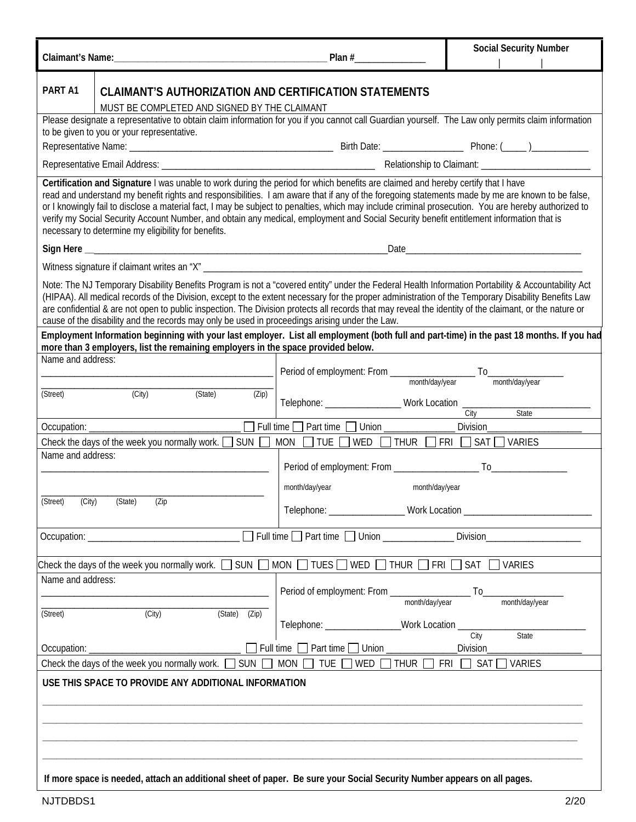| Plan#                                                                                                                                                                                                                                                                                                                                                                                                                                                                                                                                                                                                                                                                                                              |                                                                                  | <b>Social Security Number</b>                                                                                                                                                                                                  |  |  |  |  |
|--------------------------------------------------------------------------------------------------------------------------------------------------------------------------------------------------------------------------------------------------------------------------------------------------------------------------------------------------------------------------------------------------------------------------------------------------------------------------------------------------------------------------------------------------------------------------------------------------------------------------------------------------------------------------------------------------------------------|----------------------------------------------------------------------------------|--------------------------------------------------------------------------------------------------------------------------------------------------------------------------------------------------------------------------------|--|--|--|--|
| Claimant's Name:                                                                                                                                                                                                                                                                                                                                                                                                                                                                                                                                                                                                                                                                                                   |                                                                                  |                                                                                                                                                                                                                                |  |  |  |  |
| PART A1<br><b>CLAIMANT'S AUTHORIZATION AND CERTIFICATION STATEMENTS</b><br>MUST BE COMPLETED AND SIGNED BY THE CLAIMANT                                                                                                                                                                                                                                                                                                                                                                                                                                                                                                                                                                                            |                                                                                  |                                                                                                                                                                                                                                |  |  |  |  |
| Please designate a representative to obtain claim information for you if you cannot call Guardian yourself. The Law only permits claim information<br>to be given to you or your representative.                                                                                                                                                                                                                                                                                                                                                                                                                                                                                                                   |                                                                                  |                                                                                                                                                                                                                                |  |  |  |  |
|                                                                                                                                                                                                                                                                                                                                                                                                                                                                                                                                                                                                                                                                                                                    |                                                                                  |                                                                                                                                                                                                                                |  |  |  |  |
|                                                                                                                                                                                                                                                                                                                                                                                                                                                                                                                                                                                                                                                                                                                    |                                                                                  |                                                                                                                                                                                                                                |  |  |  |  |
| Certification and Signature I was unable to work during the period for which benefits are claimed and hereby certify that I have<br>read and understand my benefit rights and responsibilities. I am aware that if any of the foregoing statements made by me are known to be false,<br>or I knowingly fail to disclose a material fact, I may be subject to penalties, which may include criminal prosecution. You are hereby authorized to<br>verify my Social Security Account Number, and obtain any medical, employment and Social Security benefit entitlement information that is<br>necessary to determine my eligibility for benefits.                                                                    |                                                                                  |                                                                                                                                                                                                                                |  |  |  |  |
|                                                                                                                                                                                                                                                                                                                                                                                                                                                                                                                                                                                                                                                                                                                    |                                                                                  | Date and the contract of the contract of the contract of the contract of the contract of the contract of the contract of the contract of the contract of the contract of the contract of the contract of the contract of the c |  |  |  |  |
|                                                                                                                                                                                                                                                                                                                                                                                                                                                                                                                                                                                                                                                                                                                    |                                                                                  |                                                                                                                                                                                                                                |  |  |  |  |
| Note: The NJ Temporary Disability Benefits Program is not a "covered entity" under the Federal Health Information Portability & Accountability Act<br>(HIPAA). All medical records of the Division, except to the extent necessary for the proper administration of the Temporary Disability Benefits Law<br>are confidential & are not open to public inspection. The Division protects all records that may reveal the identity of the claimant, or the nature or<br>cause of the disability and the records may only be used in proceedings arising under the Law.<br>Employment Information beginning with your last employer. List all employment (both full and part-time) in the past 18 months. If you had |                                                                                  |                                                                                                                                                                                                                                |  |  |  |  |
| more than 3 employers, list the remaining employers in the space provided below.                                                                                                                                                                                                                                                                                                                                                                                                                                                                                                                                                                                                                                   |                                                                                  |                                                                                                                                                                                                                                |  |  |  |  |
| Name and address:                                                                                                                                                                                                                                                                                                                                                                                                                                                                                                                                                                                                                                                                                                  |                                                                                  |                                                                                                                                                                                                                                |  |  |  |  |
|                                                                                                                                                                                                                                                                                                                                                                                                                                                                                                                                                                                                                                                                                                                    |                                                                                  |                                                                                                                                                                                                                                |  |  |  |  |
| (City)<br>(Street)<br>(State)<br>(Zip)                                                                                                                                                                                                                                                                                                                                                                                                                                                                                                                                                                                                                                                                             | Telephone: ____________________Work Location ___________________________________ | State                                                                                                                                                                                                                          |  |  |  |  |
|                                                                                                                                                                                                                                                                                                                                                                                                                                                                                                                                                                                                                                                                                                                    | Full time Part time Union ____________                                           | <b>Division</b>                                                                                                                                                                                                                |  |  |  |  |
| Check the days of the week you normally work. $\Box$ SUN $\Box$<br><b>MON</b>                                                                                                                                                                                                                                                                                                                                                                                                                                                                                                                                                                                                                                      | TUE  <br>WED                                                                     | $\Box$ THUR $\Box$ FRI $\Box$ SAT $\Box$ VARIES                                                                                                                                                                                |  |  |  |  |
| Name and address:                                                                                                                                                                                                                                                                                                                                                                                                                                                                                                                                                                                                                                                                                                  |                                                                                  |                                                                                                                                                                                                                                |  |  |  |  |
|                                                                                                                                                                                                                                                                                                                                                                                                                                                                                                                                                                                                                                                                                                                    |                                                                                  |                                                                                                                                                                                                                                |  |  |  |  |
|                                                                                                                                                                                                                                                                                                                                                                                                                                                                                                                                                                                                                                                                                                                    | month/day/year<br>month/day/year                                                 |                                                                                                                                                                                                                                |  |  |  |  |
| (City)<br>(State)<br>(Street)<br>(Zip                                                                                                                                                                                                                                                                                                                                                                                                                                                                                                                                                                                                                                                                              | Telephone: __________________<br><b>Work Location</b>                            |                                                                                                                                                                                                                                |  |  |  |  |
|                                                                                                                                                                                                                                                                                                                                                                                                                                                                                                                                                                                                                                                                                                                    |                                                                                  |                                                                                                                                                                                                                                |  |  |  |  |
| Occupation: _                                                                                                                                                                                                                                                                                                                                                                                                                                                                                                                                                                                                                                                                                                      | Full time Part time Union ____________                                           | Division                                                                                                                                                                                                                       |  |  |  |  |
| Check the days of the week you normally work. $\Box$ SUN $\Box$ MON $\Box$ TUES $\Box$ WED $\Box$ THUR $\Box$ FRI $\Box$ SAT $\Box$ VARIES                                                                                                                                                                                                                                                                                                                                                                                                                                                                                                                                                                         |                                                                                  |                                                                                                                                                                                                                                |  |  |  |  |
| Name and address:                                                                                                                                                                                                                                                                                                                                                                                                                                                                                                                                                                                                                                                                                                  |                                                                                  |                                                                                                                                                                                                                                |  |  |  |  |
|                                                                                                                                                                                                                                                                                                                                                                                                                                                                                                                                                                                                                                                                                                                    | Period of employment: From ____________<br>month/day/year                        | To<br>month/day/year                                                                                                                                                                                                           |  |  |  |  |
| (City)<br>(Street)<br>(State)<br>(Zip)                                                                                                                                                                                                                                                                                                                                                                                                                                                                                                                                                                                                                                                                             |                                                                                  |                                                                                                                                                                                                                                |  |  |  |  |
|                                                                                                                                                                                                                                                                                                                                                                                                                                                                                                                                                                                                                                                                                                                    | _Work Location _<br>Telephone: ___________________                               | City<br>State                                                                                                                                                                                                                  |  |  |  |  |
| Full time<br>Occupation:                                                                                                                                                                                                                                                                                                                                                                                                                                                                                                                                                                                                                                                                                           | Part time $\Box$ Union                                                           | <b>Division</b>                                                                                                                                                                                                                |  |  |  |  |
| Check the days of the week you normally work. $\square$<br><b>SUN</b><br><b>MON</b>                                                                                                                                                                                                                                                                                                                                                                                                                                                                                                                                                                                                                                | WED $\Box$<br>TUE $\Box$<br><b>THUR</b><br>FRI                                   | SAT<br><b>VARIES</b>                                                                                                                                                                                                           |  |  |  |  |
| USE THIS SPACE TO PROVIDE ANY ADDITIONAL INFORMATION                                                                                                                                                                                                                                                                                                                                                                                                                                                                                                                                                                                                                                                               |                                                                                  |                                                                                                                                                                                                                                |  |  |  |  |
|                                                                                                                                                                                                                                                                                                                                                                                                                                                                                                                                                                                                                                                                                                                    |                                                                                  |                                                                                                                                                                                                                                |  |  |  |  |
|                                                                                                                                                                                                                                                                                                                                                                                                                                                                                                                                                                                                                                                                                                                    |                                                                                  |                                                                                                                                                                                                                                |  |  |  |  |
|                                                                                                                                                                                                                                                                                                                                                                                                                                                                                                                                                                                                                                                                                                                    |                                                                                  |                                                                                                                                                                                                                                |  |  |  |  |
| If more space is needed, attach an additional sheet of paper. Be sure your Social Security Number appears on all pages.                                                                                                                                                                                                                                                                                                                                                                                                                                                                                                                                                                                            |                                                                                  |                                                                                                                                                                                                                                |  |  |  |  |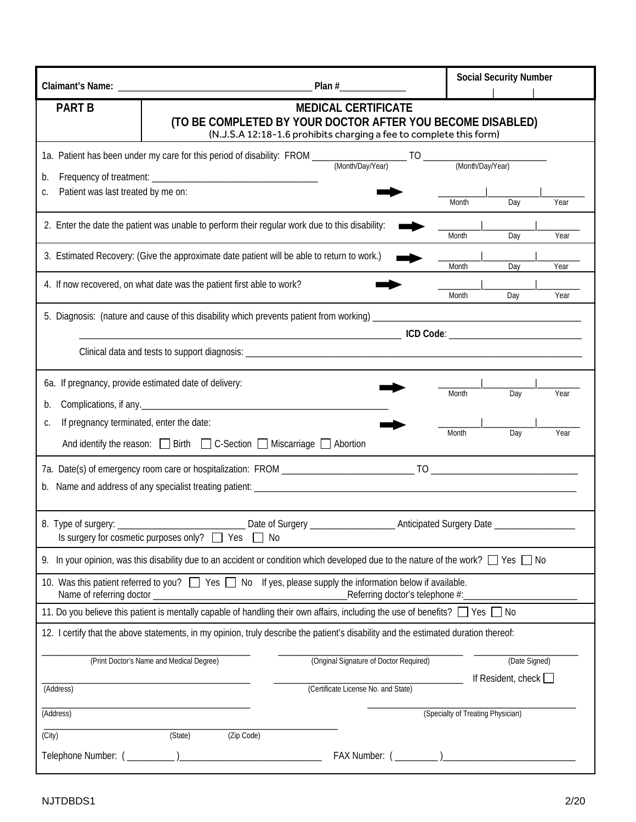|                                                                                                      |                                                                                                                                             |                                                                                                  | <b>Social Security Number</b> |     |      |  |
|------------------------------------------------------------------------------------------------------|---------------------------------------------------------------------------------------------------------------------------------------------|--------------------------------------------------------------------------------------------------|-------------------------------|-----|------|--|
| <b>PART B</b>                                                                                        | (TO BE COMPLETED BY YOUR DOCTOR AFTER YOU BECOME DISABLED)                                                                                  | <b>MEDICAL CERTIFICATE</b><br>(N.J.S.A 12:18-1.6 prohibits charging a fee to complete this form) |                               |     |      |  |
|                                                                                                      |                                                                                                                                             |                                                                                                  |                               |     |      |  |
| b.                                                                                                   |                                                                                                                                             |                                                                                                  |                               |     |      |  |
| Patient was last treated by me on:<br>C.                                                             |                                                                                                                                             |                                                                                                  |                               |     |      |  |
|                                                                                                      |                                                                                                                                             |                                                                                                  | Month                         | Day | Year |  |
|                                                                                                      | 2. Enter the date the patient was unable to perform their regular work due to this disability:                                              |                                                                                                  | Month                         | Day | Year |  |
|                                                                                                      | 3. Estimated Recovery: (Give the approximate date patient will be able to return to work.)                                                  |                                                                                                  |                               |     |      |  |
|                                                                                                      |                                                                                                                                             |                                                                                                  | Month                         | Day | Year |  |
|                                                                                                      | 4. If now recovered, on what date was the patient first able to work?                                                                       |                                                                                                  | Month                         | Day | Year |  |
|                                                                                                      |                                                                                                                                             |                                                                                                  |                               |     |      |  |
|                                                                                                      |                                                                                                                                             |                                                                                                  |                               |     |      |  |
|                                                                                                      |                                                                                                                                             |                                                                                                  |                               |     |      |  |
|                                                                                                      |                                                                                                                                             |                                                                                                  |                               |     |      |  |
|                                                                                                      | 6a. If pregnancy, provide estimated date of delivery:                                                                                       |                                                                                                  | Month                         | Day | Year |  |
| b.                                                                                                   |                                                                                                                                             |                                                                                                  |                               |     |      |  |
| If pregnancy terminated, enter the date:<br>C.                                                       |                                                                                                                                             |                                                                                                  |                               |     |      |  |
|                                                                                                      | And identify the reason: $\Box$ Birth $\Box$ C-Section $\Box$ Miscarriage $\Box$ Abortion                                                   |                                                                                                  | Month                         | Day | Year |  |
|                                                                                                      |                                                                                                                                             |                                                                                                  |                               |     |      |  |
|                                                                                                      |                                                                                                                                             |                                                                                                  |                               |     |      |  |
|                                                                                                      |                                                                                                                                             |                                                                                                  |                               |     |      |  |
|                                                                                                      | Is surgery for cosmetic purposes only? □ Yes<br>No                                                                                          |                                                                                                  |                               |     |      |  |
|                                                                                                      | 9. In your opinion, was this disability due to an accident or condition which developed due to the nature of the work? $\Box$ Yes $\Box$ No |                                                                                                  |                               |     |      |  |
|                                                                                                      |                                                                                                                                             |                                                                                                  |                               |     |      |  |
| Name of referring doctor _                                                                           | 10. Was this patient referred to you? Wes No If yes, please supply the information below if available.                                      | Referring doctor's telephone #:_____________                                                     |                               |     |      |  |
|                                                                                                      | 11. Do you believe this patient is mentally capable of handling their own affairs, including the use of benefits? $\Box$ Yes $\Box$ No      |                                                                                                  |                               |     |      |  |
|                                                                                                      | 12. I certify that the above statements, in my opinion, truly describe the patient's disability and the estimated duration thereof:         |                                                                                                  |                               |     |      |  |
|                                                                                                      |                                                                                                                                             |                                                                                                  |                               |     |      |  |
| (Print Doctor's Name and Medical Degree)<br>(Original Signature of Doctor Required)<br>(Date Signed) |                                                                                                                                             |                                                                                                  |                               |     |      |  |
| (Address)                                                                                            | If Resident, check $\Box$<br>(Certificate License No. and State)                                                                            |                                                                                                  |                               |     |      |  |
| (Address)                                                                                            |                                                                                                                                             | (Specialty of Treating Physician)                                                                |                               |     |      |  |
| (City)                                                                                               | (State)<br>(Zip Code)                                                                                                                       |                                                                                                  |                               |     |      |  |
|                                                                                                      |                                                                                                                                             |                                                                                                  |                               |     |      |  |
|                                                                                                      |                                                                                                                                             |                                                                                                  |                               |     |      |  |